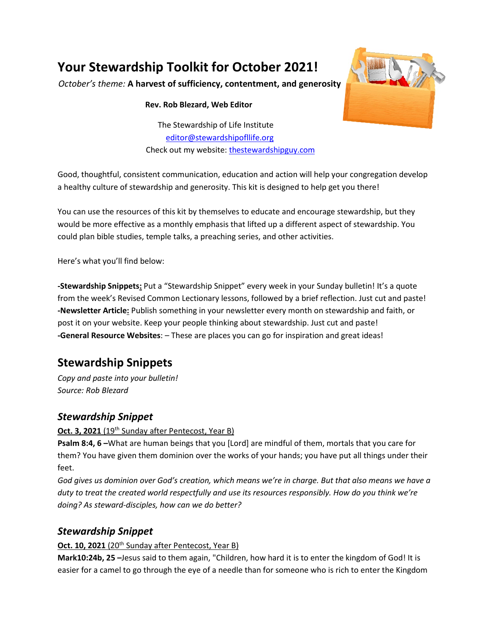# **Your Stewardship Toolkit for October 2021!**

*October's theme:* **A harvest of sufficiency, contentment, and generosity**

#### **Rev. Rob Blezard, Web Editor**

The Stewardship of Life Institute [editor@stewardshipofllife.org](mailto:editor@stewardshipofllife.org) Check out my website: [thestewardshipguy.com](https://www.thestewardshipguy.com/)



Good, thoughtful, consistent communication, education and action will help your congregation develop a healthy culture of stewardship and generosity. This kit is designed to help get you there!

You can use the resources of this kit by themselves to educate and encourage stewardship, but they would be more effective as a monthly emphasis that lifted up a different aspect of stewardship. You could plan bible studies, temple talks, a preaching series, and other activities.

Here's what you'll find below:

**-Stewardship Snippets:** Put a "Stewardship Snippet" every week in your Sunday bulletin! It's a quote from the week's Revised Common Lectionary lessons, followed by a brief reflection. Just cut and paste! **-Newsletter Article:** Publish something in your newsletter every month on stewardship and faith, or post it on your website. Keep your people thinking about stewardship. Just cut and paste! **-General Resource Websites**: – These are places you can go for inspiration and great ideas!

# **Stewardship Snippets**

*Copy and paste into your bulletin! Source: Rob Blezard*

## *Stewardship Snippet*

#### **Oct. 3, 2021** (19<sup>th</sup> Sunday after Pentecost, Year B)

**Psalm 8:4, 6 –**What are human beings that you [Lord] are mindful of them, mortals that you care for them? You have given them dominion over the works of your hands; you have put all things under their feet.

*God gives us dominion over God's creation, which means we're in charge. But that also means we have a duty to treat the created world respectfully and use its resources responsibly. How do you think we're doing? As steward-disciples, how can we do better?*

# *Stewardship Snippet*

#### **Oct. 10, 2021** (20<sup>th</sup> Sunday after Pentecost, Year B)

**Mark10:24b, 25 –**Jesus said to them again, "Children, how hard it is to enter the kingdom of God! It is easier for a camel to go through the eye of a needle than for someone who is rich to enter the Kingdom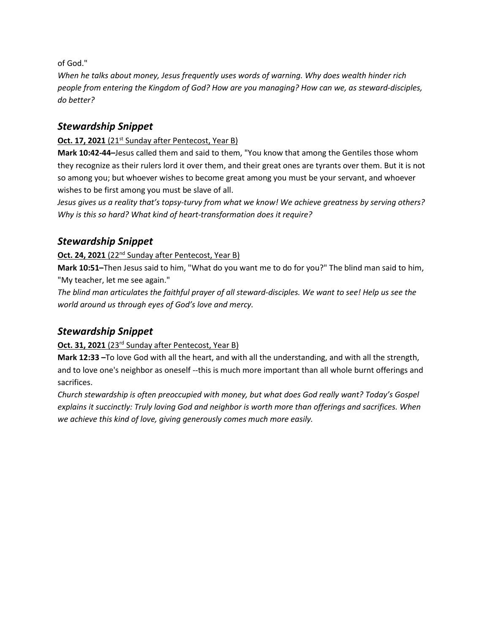of God."

*When he talks about money, Jesus frequently uses words of warning. Why does wealth hinder rich people from entering the Kingdom of God? How are you managing? How can we, as steward-disciples, do better?*

### *Stewardship Snippet*

#### **Oct. 17, 2021** (21<sup>st</sup> Sunday after Pentecost, Year B)

**Mark 10:42-44–**Jesus called them and said to them, "You know that among the Gentiles those whom they recognize as their rulers lord it over them, and their great ones are tyrants over them. But it is not so among you; but whoever wishes to become great among you must be your servant, and whoever wishes to be first among you must be slave of all.

*Jesus gives us a reality that's topsy-turvy from what we know! We achieve greatness by serving others? Why is this so hard? What kind of heart-transformation does it require?* 

### *Stewardship Snippet*

#### **Oct. 24, 2021** (22<sup>nd</sup> Sunday after Pentecost, Year B)

**Mark 10:51–**Then Jesus said to him, "What do you want me to do for you?" The blind man said to him, "My teacher, let me see again."

*The blind man articulates the faithful prayer of all steward-disciples. We want to see! Help us see the world around us through eyes of God's love and mercy.*

## *Stewardship Snippet*

#### Oct. 31, 2021 (23<sup>rd</sup> Sunday after Pentecost, Year B)

**Mark 12:33 –**To love God with all the heart, and with all the understanding, and with all the strength, and to love one's neighbor as oneself --this is much more important than all whole burnt offerings and sacrifices.

*Church stewardship is often preoccupied with money, but what does God really want? Today's Gospel explains it succinctly: Truly loving God and neighbor is worth more than offerings and sacrifices. When we achieve this kind of love, giving generously comes much more easily.*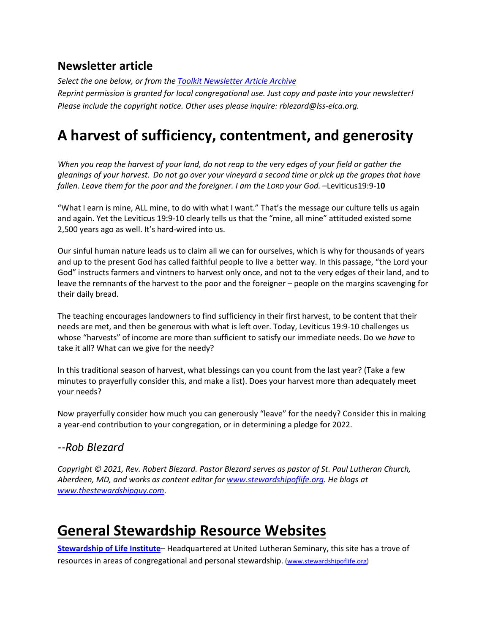# **Newsletter article**

*Select the one below, or from the [Toolkit Newsletter Article Archive](https://www.lss-elca.org/toolkit-newsletter-archive/) Reprint permission is granted for local congregational use. Just copy and paste into your newsletter! Please include the copyright notice. Other uses please inquire: rblezard@lss-elca.org.*

# **A harvest of sufficiency, contentment, and generosity**

*When you reap the harvest of your land, do not reap to the very edges of your field or gather the gleanings of your harvest. Do not go over your vineyard a second time or pick up the grapes that have fallen. Leave them for the poor and the foreigner. I am the LORD your God.* –Leviticus19:9-1**0**

"What I earn is mine, ALL mine, to do with what I want." That's the message our culture tells us again and again. Yet the Leviticus 19:9-10 clearly tells us that the "mine, all mine" attituded existed some 2,500 years ago as well. It's hard-wired into us.

Our sinful human nature leads us to claim all we can for ourselves, which is why for thousands of years and up to the present God has called faithful people to live a better way. In this passage, "the Lord your God" instructs farmers and vintners to harvest only once, and not to the very edges of their land, and to leave the remnants of the harvest to the poor and the foreigner – people on the margins scavenging for their daily bread.

The teaching encourages landowners to find sufficiency in their first harvest, to be content that their needs are met, and then be generous with what is left over. Today, Leviticus 19:9-10 challenges us whose "harvests" of income are more than sufficient to satisfy our immediate needs. Do we *have* to take it all? What can we give for the needy?

In this traditional season of harvest, what blessings can you count from the last year? (Take a few minutes to prayerfully consider this, and make a list). Does your harvest more than adequately meet your needs?

Now prayerfully consider how much you can generously "leave" for the needy? Consider this in making a year-end contribution to your congregation, or in determining a pledge for 2022.

## *--Rob Blezard*

*Copyright © 2021, Rev. Robert Blezard. Pastor Blezard serves as pastor of St. Paul Lutheran Church, Aberdeen, MD, and works as content editor for [www.stewardshipoflife.org.](http://www.stewardshipoflife.org/) He blogs at www.thestewardshipguy.com*.

# **General Stewardship Resource Websites**

**[Stewardship of Life Institute](http://www.stewardshipoflife.org/)**– Headquartered at United Lutheran Seminary, this site has a trove of resources in areas of congregational and personal stewardship. [\(www.stewardshipoflife.org\)](http://www.stewardshipoflife.org/)